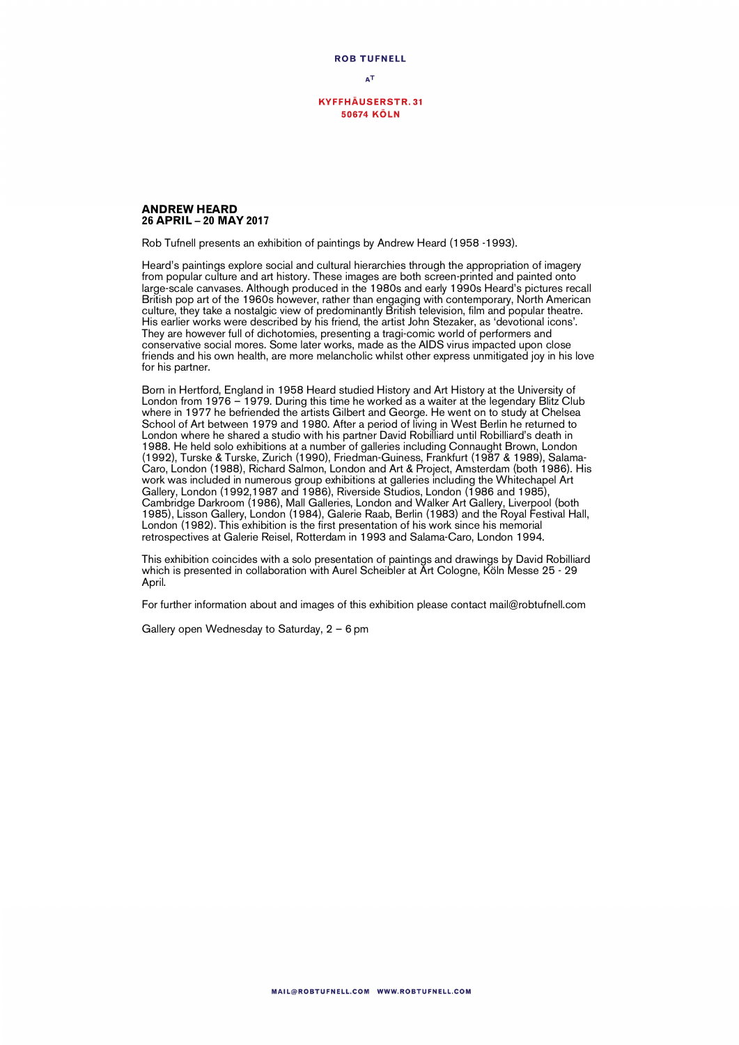**ROB TUFNELL**  $\Delta$ T

**KYFFHÄUSERSTR.31 50674 KÖLN** 

## **ANDREW HEARD 26 APRIL – 20 MAY 2017**

Rob Tufnell presents an exhibition of paintings by Andrew Heard (1958 -1993).

Heard's paintings explore social and cultural hierarchies through the appropriation of imagery from popular culture and art history. These images are both screen-printed and painted onto large-scale canvases. Although produced in the 1980s and early 1990s Heard's pictures recall British pop art of the 1960s however, rather than engaging with contemporary, North American culture, they take a nostalgic view of predominantly British television, film and popular theatre. His earlier works were described by his friend, the artist John Stezaker, as 'devotional icons'. They are however full of dichotomies, presenting a tragi-comic world of performers and conservative social mores. Some later works, made as the AIDS virus impacted upon close friends and his own health, are more melancholic whilst other express unmitigated joy in his love for his partner.

Born in Hertford, England in 1958 Heard studied History and Art History at the University of London from 1976 – 1979. During this time he worked as a waiter at the legendary Blitz Club where in 1977 he befriended the artists Gilbert and George. He went on to study at Chelsea School of Art between 1979 and 1980. After a period of living in West Berlin he returned to London where he shared a studio with his partner David Robilliard until Robilliard's death in 1988. He held solo exhibitions at a number of galleries including Connaught Brown, London (1992), Turske & Turske, Zurich (1990), Friedman-Guiness, Frankfurt (1987 & 1989), Salama-Caro, London (1988), Richard Salmon, London and Art & Project, Amsterdam (both 1986). His work was included in numerous group exhibitions at galleries including the Whitechapel Art Gallery, London (1992,1987 and 1986), Riverside Studios, London (1986 and 1985), Cambridge Darkroom (1986), Mall Galleries, London and Walker Art Gallery, Liverpool (both 1985), Lisson Gallery, London (1984), Galerie Raab, Berlin (1983) and the Royal Festival Hall, London (1982). This exhibition is the first presentation of his work since his memorial retrospectives at Galerie Reisel, Rotterdam in 1993 and Salama-Caro, London 1994.

This exhibition coincides with a solo presentation of paintings and drawings by David Robilliard which is presented in collaboration with Aurel Scheibler at Art Cologne, Köln Messe 25 - 29 April.

For further information about and images of this exhibition please contact mail@robtufnell.com

Gallery open Wednesday to Saturday, 2 – 6 pm